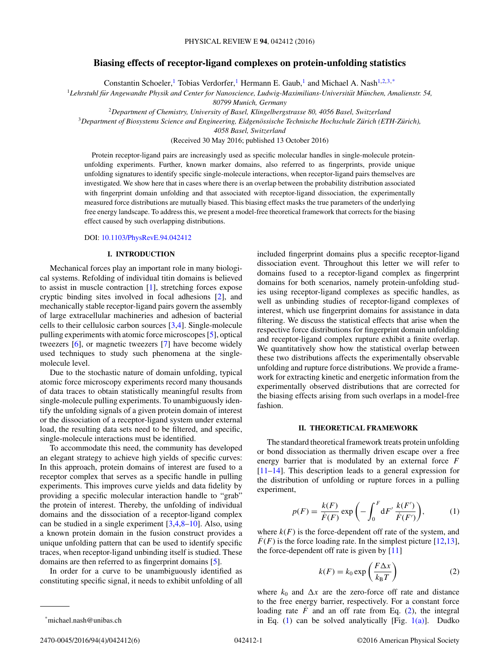# <span id="page-0-0"></span>**Biasing effects of receptor-ligand complexes on protein-unfolding statistics**

Constantin Schoeler,<sup>1</sup> Tobias Verdorfer,<sup>1</sup> Hermann E. Gaub,<sup>1</sup> and Michael A. Nash<sup>1,2,3,\*</sup>

<sup>1</sup>Lehrstuhl für Angewandte Physik and Center for Nanoscience, Ludwig-Maximilians-Universität München, Amalienstr. 54,

*80799 Munich, Germany*

<sup>2</sup>*Department of Chemistry, University of Basel, Klingelbergstrasse 80, 4056 Basel, Switzerland*

<sup>3</sup>*Department of Biosystems Science and Engineering, Eidgenossische Technische Hochschule Z ¨ urich (ETH-Z ¨ urich), ¨*

*4058 Basel, Switzerland*

(Received 30 May 2016; published 13 October 2016)

Protein receptor-ligand pairs are increasingly used as specific molecular handles in single-molecule proteinunfolding experiments. Further, known marker domains, also referred to as fingerprints, provide unique unfolding signatures to identify specific single-molecule interactions, when receptor-ligand pairs themselves are investigated. We show here that in cases where there is an overlap between the probability distribution associated with fingerprint domain unfolding and that associated with receptor-ligand dissociation, the experimentally measured force distributions are mutually biased. This biasing effect masks the true parameters of the underlying free energy landscape. To address this, we present a model-free theoretical framework that corrects for the biasing effect caused by such overlapping distributions.

#### DOI: [10.1103/PhysRevE.94.042412](http://dx.doi.org/10.1103/PhysRevE.94.042412)

#### **I. INTRODUCTION**

Mechanical forces play an important role in many biological systems. Refolding of individual titin domains is believed to assist in muscle contraction [\[1\]](#page-5-0), stretching forces expose cryptic binding sites involved in focal adhesions [\[2\]](#page-5-0), and mechanically stable receptor-ligand pairs govern the assembly of large extracellular machineries and adhesion of bacterial cells to their cellulosic carbon sources [\[3,4\]](#page-5-0). Single-molecule pulling experiments with atomic force microscopes [\[5\]](#page-5-0), optical tweezers [\[6\]](#page-5-0), or magnetic tweezers [\[7\]](#page-5-0) have become widely used techniques to study such phenomena at the singlemolecule level.

Due to the stochastic nature of domain unfolding, typical atomic force microscopy experiments record many thousands of data traces to obtain statistically meaningful results from single-molecule pulling experiments. To unambiguously identify the unfolding signals of a given protein domain of interest or the dissociation of a receptor-ligand system under external load, the resulting data sets need to be filtered, and specific, single-molecule interactions must be identified.

To accommodate this need, the community has developed an elegant strategy to achieve high yields of specific curves: In this approach, protein domains of interest are fused to a receptor complex that serves as a specific handle in pulling experiments. This improves curve yields and data fidelity by providing a specific molecular interaction handle to "grab" the protein of interest. Thereby, the unfolding of individual domains and the dissociation of a receptor-ligand complex can be studied in a single experiment [\[3,4,8–10\]](#page-5-0). Also, using a known protein domain in the fusion construct provides a unique unfolding pattern that can be used to identify specific traces, when receptor-ligand unbinding itself is studied. These domains are then referred to as fingerprint domains [\[5\]](#page-5-0).

In order for a curve to be unambiguously identified as constituting specific signal, it needs to exhibit unfolding of all included fingerprint domains plus a specific receptor-ligand dissociation event. Throughout this letter we will refer to domains fused to a receptor-ligand complex as fingerprint domains for both scenarios, namely protein-unfolding studies using receptor-ligand complexes as specific handles, as well as unbinding studies of receptor-ligand complexes of interest, which use fingerprint domains for assistance in data filtering. We discuss the statistical effects that arise when the respective force distributions for fingerprint domain unfolding and receptor-ligand complex rupture exhibit a finite overlap. We quantitatively show how the statistical overlap between these two distributions affects the experimentally observable unfolding and rupture force distributions. We provide a framework for extracting kinetic and energetic information from the experimentally observed distributions that are corrected for the biasing effects arising from such overlaps in a model-free fashion.

### **II. THEORETICAL FRAMEWORK**

The standard theoretical framework treats protein unfolding or bond dissociation as thermally driven escape over a free energy barrier that is modulated by an external force *F* [\[11–14\]](#page-5-0). This description leads to a general expression for the distribution of unfolding or rupture forces in a pulling experiment,

$$
p(F) = \frac{k(F)}{\dot{F}(F)} \exp\left(-\int_0^F dF' \frac{k(F')}{\dot{F}(F')}\right),\tag{1}
$$

where  $k(F)$  is the force-dependent off rate of the system, and  $F(F)$  is the force loading rate. In the simplest picture [\[12,13\]](#page-5-0), the force-dependent off rate is given by [\[11\]](#page-5-0)

$$
k(F) = k_0 \exp\left(\frac{F\Delta x}{k_B T}\right) \tag{2}
$$

where  $k_0$  and  $\Delta x$  are the zero-force off rate and distance to the free energy barrier, respectively. For a constant force loading rate  $\ddot{F}$  and an off rate from Eq. (2), the integral in Eq.  $(1)$  can be solved analytically [Fig.  $1(a)$ ]. Dudko

<sup>\*</sup>michael.nash@unibas.ch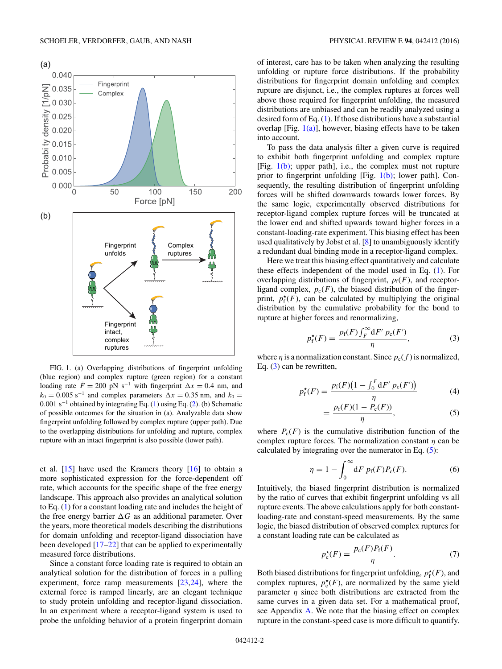<span id="page-1-0"></span>

FIG. 1. (a) Overlapping distributions of fingerprint unfolding (blue region) and complex rupture (green region) for a constant loading rate  $\dot{F} = 200 \text{ pN s}^{-1}$  with fingerprint  $\Delta x = 0.4 \text{ nm}$ , and  $k_0 = 0.005$  s<sup>-1</sup> and complex parameters  $\Delta x = 0.35$  nm, and  $k_0 =$ 0*.*001 s−<sup>1</sup> obtained by integrating Eq. [\(1\)](#page-0-0) using Eq. [\(2\)](#page-0-0). (b) Schematic of possible outcomes for the situation in (a). Analyzable data show fingerprint unfolding followed by complex rupture (upper path). Due to the overlapping distributions for unfolding and rupture, complex rupture with an intact fingerprint is also possible (lower path).

et al.  $[15]$  have used the Kramers theory  $[16]$  to obtain a more sophisticated expression for the force-dependent off rate, which accounts for the specific shape of the free energy landscape. This approach also provides an analytical solution to Eq. [\(1\)](#page-0-0) for a constant loading rate and includes the height of the free energy barrier  $\Delta G$  as an additional parameter. Over the years, more theoretical models describing the distributions for domain unfolding and receptor-ligand dissociation have been developed [\[17–22\]](#page-5-0) that can be applied to experimentally measured force distributions.

Since a constant force loading rate is required to obtain an analytical solution for the distribution of forces in a pulling experiment, force ramp measurements [\[23,24\]](#page-5-0), where the external force is ramped linearly, are an elegant technique to study protein unfolding and receptor-ligand dissociation. In an experiment where a receptor-ligand system is used to probe the unfolding behavior of a protein fingerprint domain

of interest, care has to be taken when analyzing the resulting unfolding or rupture force distributions. If the probability distributions for fingerprint domain unfolding and complex rupture are disjunct, i.e., the complex ruptures at forces well above those required for fingerprint unfolding, the measured distributions are unbiased and can be readily analyzed using a desired form of Eq. [\(1\)](#page-0-0). If those distributions have a substantial overlap [Fig.  $1(a)$ ], however, biasing effects have to be taken into account.

To pass the data analysis filter a given curve is required to exhibit both fingerprint unfolding and complex rupture [Fig.  $1(b)$ ; upper path], i.e., the complex must not rupture prior to fingerprint unfolding [Fig.  $1(b)$ ; lower path]. Consequently, the resulting distribution of fingerprint unfolding forces will be shifted downwards towards lower forces. By the same logic, experimentally observed distributions for receptor-ligand complex rupture forces will be truncated at the lower end and shifted upwards toward higher forces in a constant-loading-rate experiment. This biasing effect has been used qualitatively by Jobst et al. [\[8\]](#page-5-0) to unambiguously identify a redundant dual binding mode in a receptor-ligand complex.

Here we treat this biasing effect quantitatively and calculate these effects independent of the model used in Eq. [\(1\)](#page-0-0). For overlapping distributions of fingerprint,  $p_f(F)$ , and receptorligand complex,  $p_c(F)$ , the biased distribution of the fingerprint,  $p_f^{\star}(F)$ , can be calculated by multiplying the original distribution by the cumulative probability for the bond to rupture at higher forces and renormalizing,

$$
p_f^{\star}(F) = \frac{p_f(F) \int_F^{\infty} dF' \, p_c(F')}{\eta},\tag{3}
$$

where  $\eta$  is a normalization constant. Since  $p_c(f)$  is normalized, Eq. (3) can be rewritten,

$$
p_{\rm f}^{\star}(F) = \frac{p_{\rm f}(F)(1 - \int_0^F {\rm d}F' \ p_{\rm c}(F'))}{\eta} \tag{4}
$$

$$
=\frac{p_f(F)(1-P_c(F))}{\eta},\tag{5}
$$

where  $P_c(F)$  is the cumulative distribution function of the complex rupture forces. The normalization constant *η* can be calculated by integrating over the numerator in Eq.  $(5)$ :

$$
\eta = 1 - \int_0^\infty dF \, p_f(F) P_c(F). \tag{6}
$$

Intuitively, the biased fingerprint distribution is normalized by the ratio of curves that exhibit fingerprint unfolding vs all rupture events. The above calculations apply for both constantloading-rate and constant-speed measurements. By the same logic, the biased distribution of observed complex ruptures for a constant loading rate can be calculated as

$$
p_{\mathrm{c}}^{\star}(F) = \frac{p_{\mathrm{c}}(F)P_{\mathrm{f}}(F)}{\eta}.\tag{7}
$$

Both biased distributions for fingerprint unfolding,  $p_f^{\star}(F)$ , and complex ruptures,  $p_c^*(F)$ , are normalized by the same yield parameter  $\eta$  since both distributions are extracted from the same curves in a given data set. For a mathematical proof, see Appendix [A.](#page-4-0) We note that the biasing effect on complex rupture in the constant-speed case is more difficult to quantify.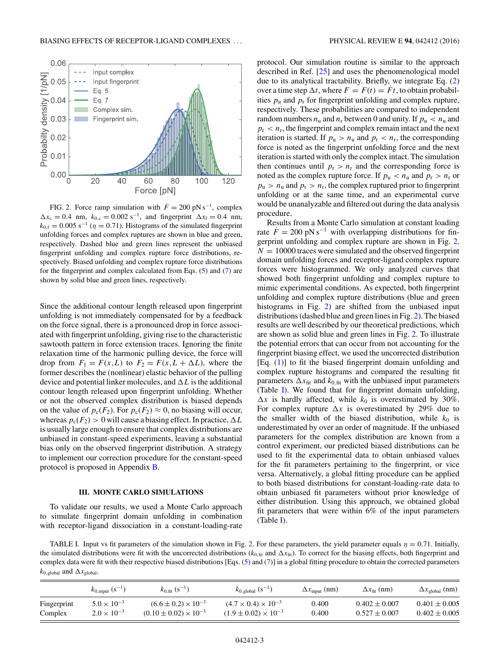<span id="page-2-0"></span>

FIG. 2. Force ramp simulation with  $\dot{F} = 200 \text{ pN s}^{-1}$ , complex  $\Delta x_c = 0.4$  nm,  $k_{0,c} = 0.002$  s<sup>-1</sup>, and fingerprint  $\Delta x_f = 0.4$  nm,  $k_{0,f} = 0.005$  s<sup>-1</sup> ( $\eta = 0.71$ ). Histograms of the simulated fingerprint unfolding forces and complex ruptures are shown in blue and green, respectively. Dashed blue and green lines represent the unbiased fingerprint unfolding and complex rupture force distributions, respectively. Biased unfolding and complex rupture force distributions for the fingerprint and complex calculated from Eqs. [\(5\)](#page-1-0) and [\(7\)](#page-1-0) are shown by solid blue and green lines, respectively.

Since the additional contour length released upon fingerprint unfolding is not immediately compensated for by a feedback on the force signal, there is a pronounced drop in force associated with fingerprint unfolding, giving rise to the characteristic sawtooth pattern in force extension traces. Ignoring the finite relaxation time of the harmonic pulling device, the force will drop from  $F_1 = F(x, L)$  to  $F_2 = F(x, L + \Delta L)$ , where the former describes the (nonlinear) elastic behavior of the pulling device and potential linker molecules, and  $\Delta L$  is the additional contour length released upon fingerprint unfolding. Whether or not the observed complex distribution is biased depends on the value of  $p_c(F_2)$ . For  $p_c(F_2) \approx 0$ , no biasing will occur, whereas  $p_c(F_2) > 0$  will cause a biasing effect. In practice,  $\Delta L$ is usually large enough to ensure that complex distributions are unbiased in constant-speed experiments, leaving a substantial bias only on the observed fingerprint distribution. A strategy to implement our correction procedure for the constant-speed protocol is proposed in Appendix [B.](#page-5-0)

#### **III. MONTE CARLO SIMULATIONS**

To validate our results, we used a Monte Carlo approach to simulate fingerprint domain unfolding in combination with receptor-ligand dissociation in a constant-loading-rate protocol. Our simulation routine is similar to the approach described in Ref. [\[25\]](#page-5-0) and uses the phenomenological model due to its analytical tractability. Briefly, we integrate Eq. [\(2\)](#page-0-0) over a time step  $\Delta t$ , where  $F = F(t) = \dot{F}t$ , to obtain probabilities  $p_u$  and  $p_r$  for fingerprint unfolding and complex rupture, respectively. These probabilities are compared to independent random numbers  $n_u$  and  $n_r$  between 0 and unity. If  $p_u < n_u$  and  $p_r < n_r$ , the fingerprint and complex remain intact and the next iteration is started. If  $p_u > n_u$  and  $p_r < n_r$ , the corresponding force is noted as the fingerprint unfolding force and the next iteration is started with only the complex intact. The simulation then continues until  $p_r > n_r$  and the corresponding force is noted as the complex rupture force. If  $p_u < n_u$  and  $p_r > n_r$  or  $p_u > n_u$  and  $p_r > n_r$ , the complex ruptured prior to fingerprint unfolding or at the same time, and an experimental curve would be unanalyzable and filtered out during the data analysis procedure.

Results from a Monte Carlo simulation at constant loading rate  $F = 200 \text{ pN s}^{-1}$  with overlapping distributions for fingerprint unfolding and complex rupture are shown in Fig. 2.  $N = 10000$  traces were simulated and the observed fingerprint domain unfolding forces and receptor-ligand complex rupture forces were histogrammed. We only analyzed curves that showed both fingerprint unfolding and complex rupture to mimic experimental conditions. As expected, both fingerprint unfolding and complex rupture distributions (blue and green histograms in Fig. 2) are shifted from the unbiased input distributions (dashed blue and green lines in Fig. 2). The biased results are well described by our theoretical predictions, which are shown as solid blue and green lines in Fig. 2. To illustrate the potential errors that can occur from not accounting for the fingerprint biasing effect, we used the uncorrected distribution [Eq. [\(1\)](#page-0-0)] to fit the biased fingerprint domain unfolding and complex rupture histograms and compared the resulting fit parameters  $\Delta x_{\text{fit}}$  and  $k_{0,\text{fit}}$  with the unbiased input parameters (Table I). We found that for fingerprint domain unfolding,  $\Delta x$  is hardly affected, while  $k_0$  is overestimated by 30%. For complex rupture  $\Delta x$  is overestimated by 29% due to the smaller width of the biased distribution, while  $k_0$  is underestimated by over an order of magnitude. If the unbiased parameters for the complex distribution are known from a control experiment, our predicted biased distributions can be used to fit the experimental data to obtain unbiased values for the fit parameters pertaining to the fingerprint, or vice versa. Alternatively, a global fitting procedure can be applied to both biased distributions for constant-loading-rate data to obtain unbiased fit parameters without prior knowledge of either distribution. Using this approach, we obtained global fit parameters that were within 6% of the input parameters (Table I).

TABLE I. Input vs fit parameters of the simulation shown in Fig. 2. For these parameters, the yield parameter equals  $\eta = 0.71$ . Initially, the simulated distributions were fit with the uncorrected distributions ( $k_{0,\text{fit}}$  and  $\Delta x_{\text{fit}}$ ). To correct for the biasing effects, both fingerprint and complex data were fit with their respective biased distributions [Eqs. [\(5\)](#page-1-0) and [\(7\)](#page-1-0)] in a global fitting procedure to obtain the corrected parameters  $k_{0,\text{global}}$  and  $\Delta x_{\text{global}}$ .

|             | $k_{0, \text{input}}$ (s <sup>-1</sup> ) | $k_{0,fit}$ (s <sup>-1</sup> )   | $k_{0,\text{global}}$ (s <sup>-1</sup> ) | $\Delta x_{input}$ (nm) | $\Delta x_{\rm fit}$ (nm) | $\Delta x_{\rm global}$ (nm) |
|-------------|------------------------------------------|----------------------------------|------------------------------------------|-------------------------|---------------------------|------------------------------|
| Fingerprint | $5.0 \times 10^{-3}$                     | $(6.6 \pm 0.2) \times 10^{-3}$   | $(4.7 \times 0.4) \times 10^{-3}$        | 0.400                   | $0.402 \pm 0.007$         | $0.401 \pm 0.005$            |
| Complex     | $2.0 \times 10^{-3}$                     | $(0.10 \pm 0.02) \times 10^{-3}$ | $(1.9 \pm 0.02) \times 10^{-3}$          | 0.400                   | $0.527 \pm 0.007$         | $0.402 \pm 0.005$            |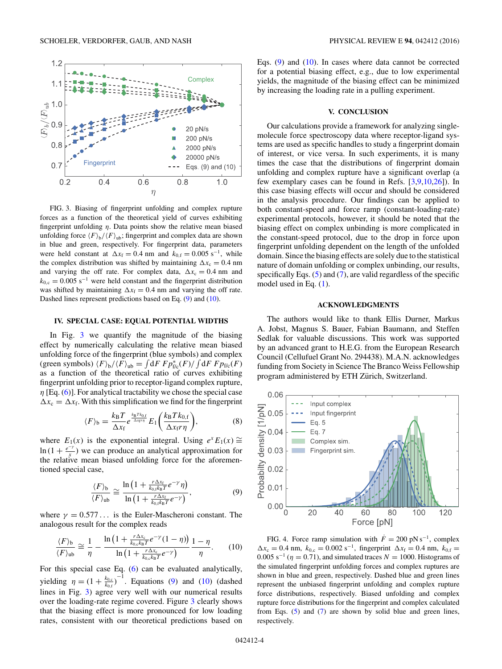<span id="page-3-0"></span>

FIG. 3. Biasing of fingerprint unfolding and complex rupture forces as a function of the theoretical yield of curves exhibiting fingerprint unfolding *η*. Data points show the relative mean biased unfolding force  $\langle F \rangle_b / \langle F \rangle_{ab}$ ; fingerprint and complex data are shown in blue and green, respectively. For fingerprint data, parameters were held constant at  $\Delta x_f = 0.4$  nm and  $k_{0,f} = 0.005$  s<sup>-1</sup>, while the complex distribution was shifted by maintaining  $\Delta x_c = 0.4$  nm and varying the off rate. For complex data,  $\Delta x_c = 0.4$  nm and  $k_{0,c} = 0.005$  s<sup>-1</sup> were held constant and the fingerprint distribution was shifted by maintaining  $\Delta x_f = 0.4$  nm and varying the off rate. Dashed lines represent predictions based on Eq. (9) and (10).

#### **IV. SPECIAL CASE: EQUAL POTENTIAL WIDTHS**

In Fig. 3 we quantify the magnitude of the biasing effect by numerically calculating the relative mean biased unfolding force of the fingerprint (blue symbols) and complex (green symbols)  $\langle F \rangle_b / \langle F \rangle_{\text{ub}} = \int dF F p_{f/c}^* (F) / \int dF F p_{f/c} (F)$ as a function of the theoretical ratio of curves exhibiting fingerprint unfolding prior to receptor-ligand complex rupture, *η* [Eq. [\(6\)](#page-1-0)]. For analytical tractability we chose the special case  $\Delta x_c = \Delta x_f$ . With this simplification we find for the fingerprint

$$
\langle F \rangle_{\text{b}} = \frac{k_{\text{B}} T}{\Delta x_{\text{f}}} e^{\frac{k_{\text{B}} T k_{0,\text{f}}}{\Delta x_{\text{f}} r \eta}} E_1 \bigg( \frac{k_{\text{B}} T k_{0,\text{f}}}{\Delta x_{\text{f}} r \eta} \bigg),\tag{8}
$$

where  $E_1(x)$  is the exponential integral. Using  $e^x E_1(x) \cong$  $\ln(1 + \frac{e^{-\gamma}}{x})$  we can produce an analytical approximation for the relative mean biased unfolding force for the aforementioned special case,

$$
\frac{\langle F \rangle_{\text{b}}}{\langle F \rangle_{\text{ub}}} \cong \frac{\ln \left( 1 + \frac{r \Delta x_{\text{f}}}{k_{0,\text{f}} k_{\text{B}} T} e^{-\gamma} \eta \right)}{\ln \left( 1 + \frac{r \Delta x_{\text{f}}}{k_{0,\text{f}} k_{\text{B}} T} e^{-\gamma} \right)},\tag{9}
$$

where  $\gamma = 0.577...$  is the Euler-Mascheroni constant. The analogous result for the complex reads

$$
\frac{\langle F \rangle_{\text{b}}}{\langle F \rangle_{\text{ub}}} \cong \frac{1}{\eta} - \frac{\ln\left(1 + \frac{r\Delta x_{\text{c}}}{k_{0,\text{c}}k_{\text{B}}T}e^{-\gamma}(1-\eta)\right)}{\ln\left(1 + \frac{r\Delta x_{\text{c}}}{k_{0,\text{c}}k_{\text{B}}T}e^{-\gamma}\right)}\frac{1-\eta}{\eta}.\tag{10}
$$

For this special case Eq. [\(6\)](#page-1-0) can be evaluated analytically, yielding  $\eta = (1 + \frac{k_{0,c}}{k_{0,f}})^{-1}$ . Equations (9) and (10) (dashed lines in Fig. 3) agree very well with our numerical results over the loading-rate regime covered. Figure 3 clearly shows that the biasing effect is more pronounced for low loading rates, consistent with our theoretical predictions based on Eqs. (9) and (10). In cases where data cannot be corrected for a potential biasing effect, e.g., due to low experimental yields, the magnitude of the biasing effect can be minimized by increasing the loading rate in a pulling experiment.

### **V. CONCLUSION**

Our calculations provide a framework for analyzing singlemolecule force spectroscopy data where receptor-ligand systems are used as specific handles to study a fingerprint domain of interest, or vice versa. In such experiments, it is many times the case that the distributions of fingerprint domain unfolding and complex rupture have a significant overlap (a few exemplary cases can be found in Refs. [\[3,9,10,26\]](#page-5-0)). In this case biasing effects will occur and should be considered in the analysis procedure. Our findings can be applied to both constant-speed and force ramp (constant-loading-rate) experimental protocols, however, it should be noted that the biasing effect on complex unbinding is more complicated in the constant-speed protocol, due to the drop in force upon fingerprint unfolding dependent on the length of the unfolded domain. Since the biasing effects are solely due to the statistical nature of domain unfolding or complex unbinding, our results, specifically Eqs.  $(5)$  and  $(7)$ , are valid regardless of the specific model used in Eq. [\(1\)](#page-0-0).

#### **ACKNOWLEDGMENTS**

The authors would like to thank Ellis Durner, Markus A. Jobst, Magnus S. Bauer, Fabian Baumann, and Steffen Sedlak for valuable discussions. This work was supported by an advanced grant to H.E.G. from the European Research Council (Cellufuel Grant No. 294438). M.A.N. acknowledges funding from Society in Science The Branco Weiss Fellowship program administered by ETH Zürich, Switzerland.



FIG. 4. Force ramp simulation with  $\dot{F} = 200 \text{ pN s}^{-1}$ , complex  $\Delta x_c = 0.4$  nm,  $k_{0,c} = 0.002$  s<sup>-1</sup>, fingerprint  $\Delta x_f = 0.4$  nm,  $k_{0,f} =$ 0.005 s<sup> $-1$ </sup> ( $\eta = 0.71$ ), and simulated traces  $N = 1000$ . Histograms of the simulated fingerprint unfolding forces and complex ruptures are shown in blue and green, respectively. Dashed blue and green lines represent the unbiased fingerprint unfolding and complex rupture force distributions, respectively. Biased unfolding and complex rupture force distributions for the fingerprint and complex calculated from Eqs. [\(5\)](#page-1-0) and [\(7\)](#page-1-0) are shown by solid blue and green lines, respectively.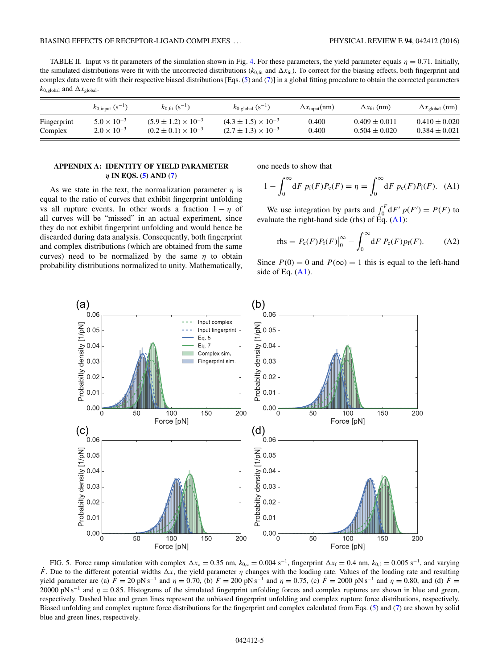<span id="page-4-0"></span>TABLE II. Input vs fit parameters of the simulation shown in Fig. [4.](#page-3-0) For these parameters, the yield parameter equals  $\eta = 0.71$ . Initially, the simulated distributions were fit with the uncorrected distributions  $(k_{0,\text{fit}}$  and  $\Delta x_{\text{fit}})$ . To correct for the biasing effects, both fingerprint and complex data were fit with their respective biased distributions [Eqs. [\(5\)](#page-1-0) and [\(7\)](#page-1-0)] in a global fitting procedure to obtain the corrected parameters  $k_{0,\text{global}}$  and  $\Delta x_{\text{global}}$ .

|             | $k_{0.0}$ (s <sup>-1</sup> ) | $k_{0.6t}$ (s <sup>-1</sup> )  | $k_{0, \text{global}} (s^{-1})$ | $\Delta x_{input}(nm)$ | $\Delta x_{\text{fit}}$ (nm) | $\Delta x_{\text{global}}$ (nm) |
|-------------|------------------------------|--------------------------------|---------------------------------|------------------------|------------------------------|---------------------------------|
| Fingerprint | $5.0 \times 10^{-3}$         | $(5.9 \pm 1.2) \times 10^{-3}$ | $(4.3 \pm 1.5) \times 10^{-3}$  | 0.400                  | $0.409 \pm 0.011$            | $0.410 \pm 0.020$               |
| Complex     | $2.0 \times 10^{-3}$         | $(0.2 \pm 0.1) \times 10^{-3}$ | $(2.7 \pm 1.3) \times 10^{-3}$  | 0.400                  | $0.504 \pm 0.020$            | $0.384 \pm 0.021$               |

## **APPENDIX A: IDENTITY OF YIELD PARAMETER** *η* **IN EQS. [\(5\)](#page-1-0) AND [\(7\)](#page-1-0)**

As we state in the text, the normalization parameter  $\eta$  is equal to the ratio of curves that exhibit fingerprint unfolding vs all rupture events. In other words a fraction  $1 - \eta$  of all curves will be "missed" in an actual experiment, since they do not exhibit fingerprint unfolding and would hence be discarded during data analysis. Consequently, both fingerprint and complex distributions (which are obtained from the same curves) need to be normalized by the same *η* to obtain probability distributions normalized to unity. Mathematically, one needs to show that

$$
1 - \int_0^{\infty} dF \, p_f(F) P_c(F) = \eta = \int_0^{\infty} dF \, p_c(F) P_f(F). \tag{A1}
$$

We use integration by parts and  $\int_0^F dF' p(F') = P(F)$  to evaluate the right-hand side (rhs) of  $\tilde{Eq}$ . (A1):

$$
rhs = P_c(F)P_f(F)|_0^{\infty} - \int_0^{\infty} dF P_c(F) p_f(F).
$$
 (A2)

Since  $P(0) = 0$  and  $P(\infty) = 1$  this is equal to the left-hand side of Eq.  $(A1)$ .



FIG. 5. Force ramp simulation with complex  $\Delta x_c = 0.35$  nm,  $k_{0,c} = 0.004$  s<sup>-1</sup>, fingerprint  $\Delta x_f = 0.4$  nm,  $k_{0,f} = 0.005$  s<sup>-1</sup>, and varying  $\dot{F}$ . Due to the different potential widths  $\Delta x$ , the yield parameter *η* changes with the loading rate. Values of the loading rate and resulting yield parameter are (a)  $\dot{F} = 20 \text{ pN s}^{-1}$  and  $\eta = 0.70$ , (b)  $\dot{F} = 200 \text{ pN s}^{-1}$  and  $\eta = 0.75$ , (c)  $\dot{F} = 2000 \text{ pN s}^{-1}$  and  $\eta = 0.80$ , and (d)  $\dot{F} =$ 20000 pN s<sup>−1</sup> and *η* = 0.85. Histograms of the simulated fingerprint unfolding forces and complex ruptures are shown in blue and green, respectively. Dashed blue and green lines represent the unbiased fingerprint unfolding and complex rupture force distributions, respectively. Biased unfolding and complex rupture force distributions for the fingerprint and complex calculated from Eqs. [\(5\)](#page-1-0) and [\(7\)](#page-1-0) are shown by solid blue and green lines, respectively.